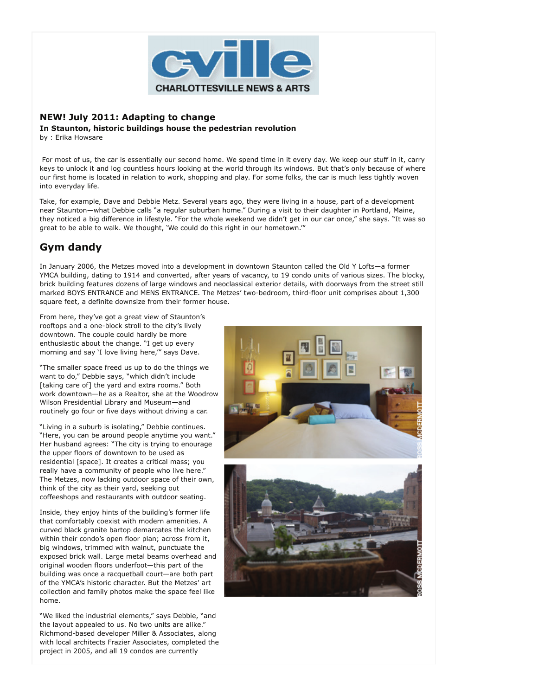

## **NEW! July 2011: Adapting to change**

**In Staunton, historic buildings house the pedestrian revolution** by : Erika Howsare

 For most of us, the car is essentially our second home. We spend time in it every day. We keep our stuff in it, carry keys to unlock it and log countless hours looking at the world through its windows. But that's only because of where our first home is located in relation to work, shopping and play. For some folks, the car is much less tightly woven into everyday life.

Take, for example, Dave and Debbie Metz. Several years ago, they were living in a house, part of a development near Staunton—what Debbie calls "a regular suburban home." During a visit to their daughter in Portland, Maine, they noticed a big difference in lifestyle. "For the whole weekend we didn't get in our car once," she says. "It was so great to be able to walk. We thought, 'We could do this right in our hometown.'"

## **Gym dandy**

In January 2006, the Metzes moved into a development in downtown Staunton called the Old Y Lofts—a former YMCA building, dating to 1914 and converted, after years of vacancy, to 19 condo units of various sizes. The blocky, brick building features dozens of large windows and neoclassical exterior details, with doorways from the street still marked BOYS ENTRANCE and MENS ENTRANCE. The Metzes' two-bedroom, third-floor unit comprises about 1,300 square feet, a definite downsize from their former house.

From here, they've got a great view of Staunton's rooftops and a one-block stroll to the city's lively downtown. The couple could hardly be more enthusiastic about the change. "I get up every morning and say 'I love living here,'" says Dave.

"The smaller space freed us up to do the things we want to do," Debbie says, "which didn't include [taking care of] the yard and extra rooms." Both work downtown—he as a Realtor, she at the Woodrow Wilson Presidential Library and Museum—and routinely go four or five days without driving a car.

"Living in a suburb is isolating," Debbie continues. "Here, you can be around people anytime you want." Her husband agrees: "The city is trying to enourage the upper floors of downtown to be used as residential [space]. It creates a critical mass; you really have a community of people who live here." The Metzes, now lacking outdoor space of their own, think of the city as their yard, seeking out coffeeshops and restaurants with outdoor seating.

Inside, they enjoy hints of the building's former life that comfortably coexist with modern amenities. A curved black granite bartop demarcates the kitchen within their condo's open floor plan; across from it, big windows, trimmed with walnut, punctuate the exposed brick wall. Large metal beams overhead and original wooden floors underfoot—this part of the building was once a racquetball court—are both part of the YMCA's historic character. But the Metzes' art collection and family photos make the space feel like home.

"We liked the industrial elements," says Debbie, "and the layout appealed to us. No two units are alike." Richmond-based developer Miller & Associates, along with local architects Frazier Associates, completed the project in 2005, and all 19 condos are currently



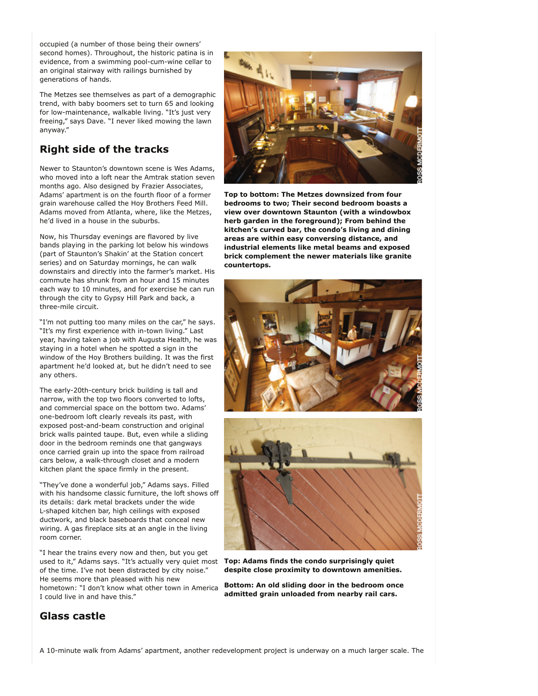occupied (a number of those being their owners' second homes). Throughout, the historic patina is in evidence, from a swimming pool-cum-wine cellar to an original stairway with railings burnished by generations of hands.

The Metzes see themselves as part of a demographic trend, with baby boomers set to turn 65 and looking for low-maintenance, walkable living. "It's just very freeing," says Dave. "I never liked mowing the lawn anyway."

## **Right side of the tracks**

Newer to Staunton's downtown scene is Wes Adams, who moved into a loft near the Amtrak station seven months ago. Also designed by Frazier Associates, Adams' apartment is on the fourth floor of a former grain warehouse called the Hoy Brothers Feed Mill. Adams moved from Atlanta, where, like the Metzes, he'd lived in a house in the suburbs.

Now, his Thursday evenings are flavored by live bands playing in the parking lot below his windows (part of Staunton's Shakin' at the Station concert series) and on Saturday mornings, he can walk downstairs and directly into the farmer's market. His commute has shrunk from an hour and 15 minutes each way to 10 minutes, and for exercise he can run through the city to Gypsy Hill Park and back, a three-mile circuit.

"I'm not putting too many miles on the car," he says. "It's my first experience with in-town living." Last year, having taken a job with Augusta Health, he was staying in a hotel when he spotted a sign in the window of the Hoy Brothers building. It was the first apartment he'd looked at, but he didn't need to see any others.

The early-20th-century brick building is tall and narrow, with the top two floors converted to lofts, and commercial space on the bottom two. Adams' one-bedroom loft clearly reveals its past, with exposed post-and-beam construction and original brick walls painted taupe. But, even while a sliding door in the bedroom reminds one that gangways once carried grain up into the space from railroad cars below, a walk-through closet and a modern kitchen plant the space firmly in the present.

"They've done a wonderful job," Adams says. Filled with his handsome classic furniture, the loft shows off its details: dark metal brackets under the wide L-shaped kitchen bar, high ceilings with exposed ductwork, and black baseboards that conceal new wiring. A gas fireplace sits at an angle in the living room corner.

"I hear the trains every now and then, but you get used to it," Adams says. "It's actually very quiet most of the time. I've not been distracted by city noise." He seems more than pleased with his new hometown: "I don't know what other town in America I could live in and have this."



**Top to bottom: The Metzes downsized from four bedrooms to two; Their second bedroom boasts a view over downtown Staunton (with a windowbox herb garden in the foreground); From behind the kitchen's curved bar, the condo's living and dining areas are within easy conversing distance, and industrial elements like metal beams and exposed brick complement the newer materials like granite countertops.**





**Top: Adams finds the condo surprisingly quiet despite close proximity to downtown amenities.**

**Bottom: An old sliding door in the bedroom once admitted grain unloaded from nearby rail cars.**

## **Glass castle**

A 10-minute walk from Adams' apartment, another redevelopment project is underway on a much larger scale. The